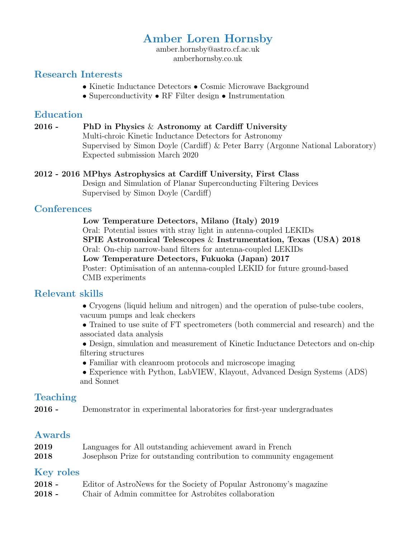# Amber Loren Hornsby

amber.hornsby@astro.cf.ac.uk amberhornsby.co.uk

# Research Interests

- Kinetic Inductance Detectors Cosmic Microwave Background
- Superconductivity RF Filter design Instrumentation

### Education

### 2016 - PhD in Physics  $\&$  Astronomy at Cardiff University

Multi-chroic Kinetic Inductance Detectors for Astronomy Supervised by Simon Doyle (Cardiff)  $\&$  Peter Barry (Argonne National Laboratory) Expected submission March 2020

#### 2012 - 2016 MPhys Astrophysics at Cardiff University, First Class

Design and Simulation of Planar Superconducting Filtering Devices Supervised by Simon Doyle (Cardiff)

### **Conferences**

#### Low Temperature Detectors, Milano (Italy) 2019

Oral: Potential issues with stray light in antenna-coupled LEKIDs

 $2018$  SPIE Astronomical Telescopes & Instrumentation, Texas (USA) 2018

Oral: On-chip narrow-band filters for antenna-coupled LEKIDs

Low Temperature Detectors, Fukuoka (Japan) 2017

Poster: Optimisation of an antenna-coupled LEKID for future ground-based CMB experiments

# Relevant skills

• Cryogens (liquid helium and nitrogen) and the operation of pulse-tube coolers, vacuum pumps and leak checkers

• Trained to use suite of FT spectrometers (both commercial and research) and the associated data analysis

• Design, simulation and measurement of Kinetic Inductance Detectors and on-chip filtering structures

- $\bullet$  Familiar with cleanroom protocols and microscope imaging
- Experience with Python, LabVIEW, Klayout, Advanced Design Systems (ADS) and Sonnet

# Teaching

2016 - Demonstrator in experimental laboratories for first-year undergraduates

# Awards

| 2019 | Languages for All outstanding achievement award in French            |
|------|----------------------------------------------------------------------|
| 2018 | Josephson Prize for outstanding contribution to community engagement |

### Key roles

- 2018 Editor of AstroNews for the Society of Popular Astronomy's magazine
- 2018 Chair of Admin committee for Astrobites collaboration